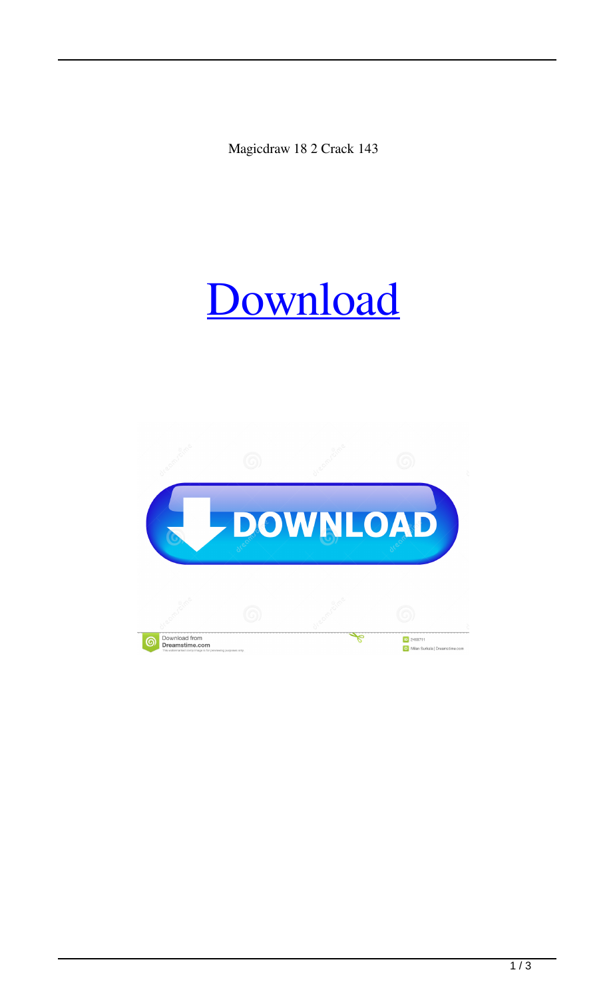Magicdraw 18 2 Crack 143



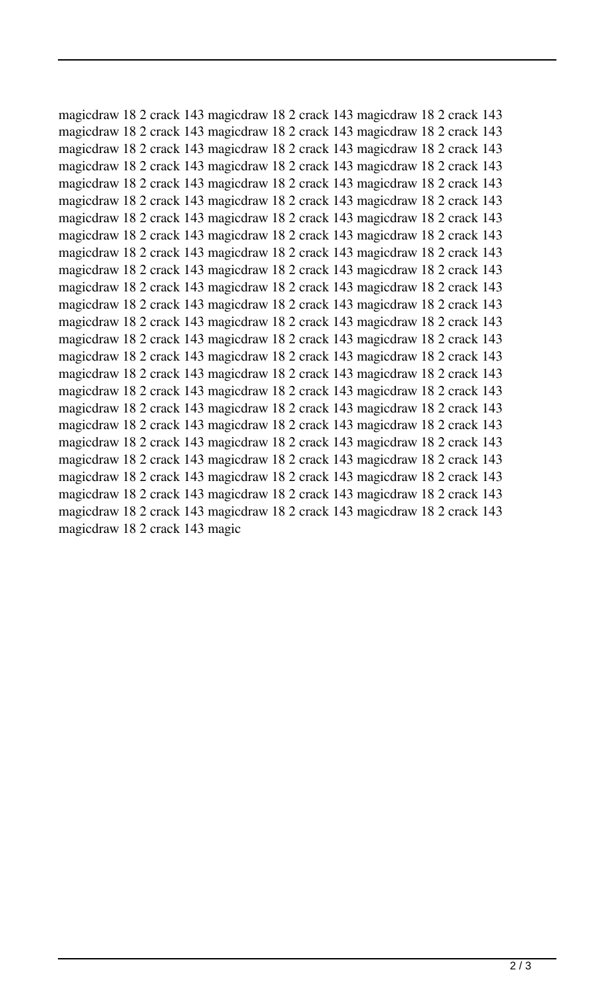magicdraw 18 2 crack 143 magicdraw 18 2 crack 143 magicdraw 18 2 crack 143 magicdraw 18 2 crack 143 magicdraw 18 2 crack 143 magicdraw 18 2 crack 143 magicdraw 18 2 crack 143 magicdraw 18 2 crack 143 magicdraw 18 2 crack 143 magicdraw 18 2 crack 143 magicdraw 18 2 crack 143 magicdraw 18 2 crack 143 magicdraw 18 2 crack 143 magicdraw 18 2 crack 143 magicdraw 18 2 crack 143 magicdraw 18 2 crack 143 magicdraw 18 2 crack 143 magicdraw 18 2 crack 143 magicdraw 18 2 crack 143 magicdraw 18 2 crack 143 magicdraw 18 2 crack 143 magicdraw 18 2 crack 143 magicdraw 18 2 crack 143 magicdraw 18 2 crack 143 magicdraw 18 2 crack 143 magicdraw 18 2 crack 143 magicdraw 18 2 crack 143 magicdraw 18 2 crack 143 magicdraw 18 2 crack 143 magicdraw 18 2 crack 143 magicdraw 18 2 crack 143 magicdraw 18 2 crack 143 magicdraw 18 2 crack 143 magicdraw 18 2 crack 143 magicdraw 18 2 crack 143 magicdraw 18 2 crack 143 magicdraw 18 2 crack 143 magicdraw 18 2 crack 143 magicdraw 18 2 crack 143 magicdraw 18 2 crack 143 magicdraw 18 2 crack 143 magicdraw 18 2 crack 143 magicdraw 18 2 crack 143 magicdraw 18 2 crack 143 magicdraw 18 2 crack 143 magicdraw 18 2 crack 143 magicdraw 18 2 crack 143 magicdraw 18 2 crack 143 magicdraw 18 2 crack 143 magicdraw 18 2 crack 143 magicdraw 18 2 crack 143 magicdraw 18 2 crack 143 magicdraw 18 2 crack 143 magicdraw 18 2 crack 143 magicdraw 18 2 crack 143 magicdraw 18 2 crack 143 magicdraw 18 2 crack 143 magicdraw 18 2 crack 143 magicdraw 18 2 crack 143 magicdraw 18 2 crack 143 magicdraw 18 2 crack 143 magicdraw 18 2 crack 143 magicdraw 18 2 crack 143 magicdraw 18 2 crack 143 magicdraw 18 2 crack 143 magicdraw 18 2 crack 143 magicdraw 18 2 crack 143 magicdraw 18 2 crack 143 magicdraw 18 2 crack 143 magicdraw 18 2 crack 143 magicdraw 18 2 crack 143 magicdraw 18 2 crack 143 magicdraw 18 2 crack 143 magic